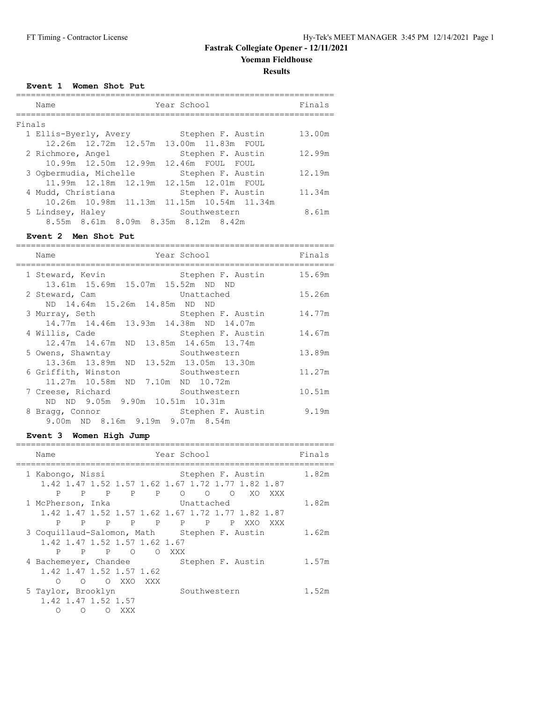**Results**

**Event 1 Women Shot Put**

|        | Name                                  | Year School                                  | Finals |
|--------|---------------------------------------|----------------------------------------------|--------|
| Finals |                                       |                                              |        |
|        | 1 Ellis-Byerly, Avery                 | Stephen F. Austin                            | 13.00m |
|        |                                       | 12.26m  12.72m  12.57m  13.00m  11.83m  FOUL |        |
|        | 2 Richmore, Angel                     | Stephen F. Austin                            | 12.99m |
|        | 10.99m 12.50m 12.99m 12.46m FOUL FOUL |                                              |        |
|        | 3 Ogbermudia, Michelle                | Stephen F. Austin                            | 12.19m |
|        | 11.99m 12.18m 12.19m                  | 12.15m 12.01m FOUL                           |        |
|        | 4 Mudd, Christiana                    | Stephen F. Austin                            | 11.34m |
|        |                                       | 10.26m 10.98m 11.13m 11.15m 10.54m 11.34m    |        |
|        | 5 Lindsey, Haley                      | Southwestern                                 | 8.61m  |
|        | 8.55m 8.61m 8.09m 8.35m 8.12m 8.42m   |                                              |        |

### **Event 2 Men Shot Put**

| Year School<br>Name                                           |                   | Finals |
|---------------------------------------------------------------|-------------------|--------|
| 1 Steward, Kevin                                              | Stephen F. Austin | 15.69m |
| 13.61m 15.69m 15.07m 15.52m ND                                | ND.               |        |
| 2 Steward, Cam<br>Unattached<br>ND 14.64m 15.26m 14.85m ND ND |                   | 15.26m |
| 3 Murray, Seth                                                | Stephen F. Austin | 14.77m |
| 14.77m 14.46m 13.93m 14.38m ND 14.07m                         |                   |        |
| 4 Willis, Cade                                                | Stephen F. Austin | 14.67m |
| 12.47m 14.67m ND 13.85m 14.65m 13.74m                         |                   |        |
| 5 Owens, Shawntay Couthwestern                                |                   | 13.89m |
| 13.36m 13.89m ND 13.52m 13.05m 13.30m                         |                   |        |
| 6 Griffith, Winston                                           | Southwestern      | 11.27m |
| 11.27m 10.58m ND 7.10m ND 10.72m                              |                   |        |
| 7 Creese, Richard                                             | Southwestern      | 10.51m |
| ND ND 9.05m 9.90m 10.51m 10.31m                               |                   |        |
| 8 Bragg, Connor                                               | Stephen F. Austin | 9.19m  |
| 9.00m ND 8.16m 9.19m 9.07m 8.54m                              |                   |        |

## **Event 3 Women High Jump**

| Name                                         | Year School                                                                                       | Finals |
|----------------------------------------------|---------------------------------------------------------------------------------------------------|--------|
| 1 Kabongo, Nissi                             | Stephen F. Austin                                                                                 | 1.82m  |
| P<br>P<br>$\mathbf{P}$<br>P P                | 1.42 1.47 1.52 1.57 1.62 1.67 1.72 1.77 1.82 1.87<br>$\circ$<br>$\circ$<br>XO.<br>$\Omega$<br>XXX |        |
| 1 McPherson, Inka                            | Unattached                                                                                        | 1.82m  |
|                                              | 1.42 1.47 1.52 1.57 1.62 1.67 1.72 1.77 1.82 1.87                                                 |        |
| P.<br>P P P P P P P P                        | XXO<br>XXX                                                                                        |        |
| 3 Coquillaud-Salomon, Math Stephen F. Austin |                                                                                                   | 1.62m  |
| 1.42 1.47 1.52 1.57 1.62 1.67                |                                                                                                   |        |
| P<br><b>PPP</b> 0                            | O XXX                                                                                             |        |
| 4 Bachemeyer, Chandee                        | Stephen F. Austin                                                                                 | 1.57m  |
| 1.42 1.47 1.52 1.57 1.62                     |                                                                                                   |        |
| O XXO<br>∩<br>$\circ$<br>XXX X               |                                                                                                   |        |
| 5 Taylor, Brooklyn<br>1.42 1.47 1.52 1.57    | Southwestern                                                                                      | 1.52m  |
| XXX<br>∩<br>∩                                |                                                                                                   |        |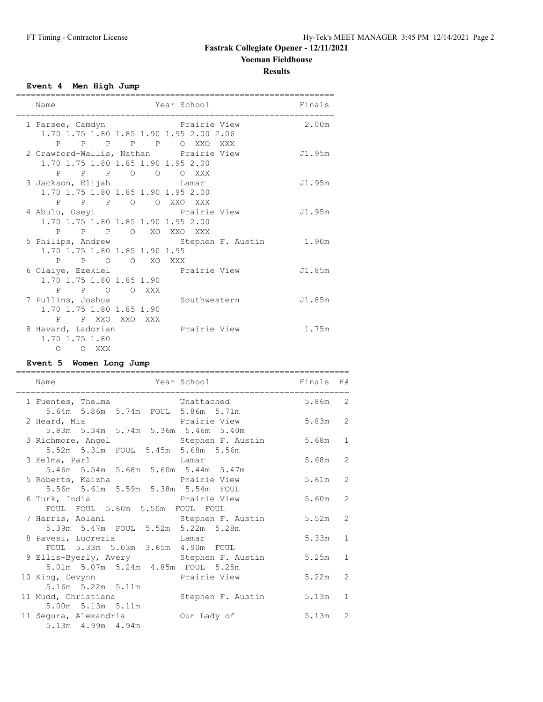**Results**

## **Event 4 Men High Jump**

| Name                                             | Year School                               | Finals |
|--------------------------------------------------|-------------------------------------------|--------|
|                                                  |                                           |        |
| 1 Parsee, Camdyn                                 | Prairie View                              | 2.00m  |
| 1.70 1.75 1.80 1.85 1.90 1.95 2.00 2.06          |                                           |        |
| P P P P P O XXO XXX                              |                                           |        |
| 2 Crawford-Wallis, Nathan Prairie View           |                                           | J1.95m |
| 1.70 1.75 1.80 1.85 1.90 1.95 2.00               |                                           |        |
| P P P O O O XXX                                  |                                           |        |
| 3 Jackson, Elijah Mamar                          |                                           | J1.95m |
| 1.70 1.75 1.80 1.85 1.90 1.95 2.00               |                                           |        |
| P P P O O XXO XXX                                |                                           |        |
| 4 Abulu, Oseyi                                   | Prairie View                              | J1.95m |
| 1.70 1.75 1.80 1.85 1.90 1.95 2.00               |                                           |        |
| P P P O XO XXO XXX                               |                                           |        |
|                                                  | 5 Philips, Andrew Stephen F. Austin 1.90m |        |
| 1.70 1.75 1.80 1.85 1.90 1.95                    |                                           |        |
| P P O O XO XXX                                   |                                           |        |
| 6 Olaiye, Ezekiel <b>Example 19 Prairie View</b> |                                           | J1.85m |
| 1.70 1.75 1.80 1.85 1.90                         |                                           |        |
| P P O O XXX                                      |                                           |        |
| 7 Pullins, Joshua                                | Southwestern                              | J1.85m |
| 1.70 1.75 1.80 1.85 1.90                         |                                           |        |
| P P XXO XXO XXX                                  |                                           |        |
| 8 Havard, Ladorian                               | Prairie View                              | 1.75m  |
| 1.70 1.75 1.80                                   |                                           |        |
| $\Omega$<br>O XXX                                |                                           |        |

## **Event 5 Women Long Jump**

| Name                                                | Year School          | Finals H# |                |
|-----------------------------------------------------|----------------------|-----------|----------------|
|                                                     |                      |           |                |
| 1 Fuentes, Thelma <b>East Conventsed</b> Unattached |                      | 5.86m 2   |                |
| 5.64m 5.86m 5.74m FOUL 5.86m 5.71m                  |                      |           |                |
| 2 Heard, Mia                                        | Prairie View 5.83m 2 |           |                |
| 5.83m 5.34m 5.74m 5.36m 5.46m 5.40m                 |                      |           |                |
| 3 Richmore, Angel Stephen F. Austin                 |                      | $5.68m$ 1 |                |
| 5.52m 5.31m FOUL 5.45m 5.68m 5.56m                  |                      |           |                |
| 3 Eelma, Parl<br><b>Example 1</b> Lamar             |                      | 5.68m 2   |                |
| 5.46m 5.54m 5.68m 5.60m 5.44m 5.47m                 |                      |           |                |
| 5 Roberts, Kaizha Mante View                        |                      | 5.61m 2   |                |
| 5.56m 5.61m 5.59m 5.38m 5.54m FOUL                  |                      |           |                |
| 6 Turk, India                                       | Prairie View         | 5.60m 2   |                |
| FOUL FOUL 5.60m 5.50m FOUL FOUL                     |                      |           |                |
| 7 Harris, Aolani (Carl Stephen F. Austin            |                      | $5.52m$ 2 |                |
| 5.39m 5.47m FOUL 5.52m 5.22m 5.28m                  |                      |           |                |
| 8 Pavesi, Lucrezia and Lamar                        |                      | $5.33m$ 1 |                |
| FOUL 5.33m 5.03m 3.65m 4.90m FOUL                   |                      |           |                |
| 9 Ellis-Byerly, Avery Stephen F. Austin             |                      | 5.25m     | $\mathbf{1}$   |
| 5.01m 5.07m 5.24m 4.85m FOUL 5.25m                  |                      |           |                |
| 10 King, Devynn and Brairie View                    |                      | 5.22m     | $\overline{2}$ |
| 5.16m 5.22m 5.11m                                   |                      |           |                |
| 11 Mudd, Christiana (Charles Stephen F. Austin      |                      | $5.13m$ 1 |                |
| 5.00m 5.13m 5.11m                                   |                      |           |                |
| 11 Segura, Alexandria bur Lady of                   |                      | $5.13m$ 2 |                |
| 5.13m  4.99m  4.94m                                 |                      |           |                |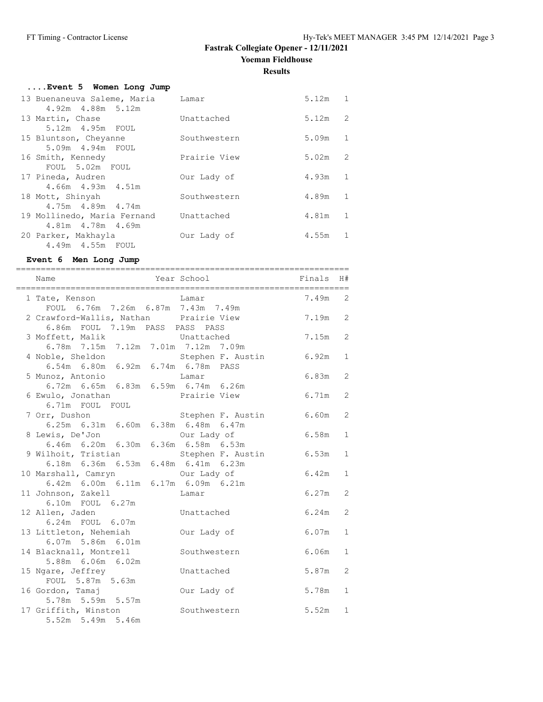**Results**

| Event 5 Women Long Jump                                            |              |           |                |
|--------------------------------------------------------------------|--------------|-----------|----------------|
| 13 Buenaneuva Saleme, Maria                                        | Lamar        | $5.12m$ 1 |                |
| 4.92m 4.88m 5.12m<br>13 Martin, Chase                              | Unattached   | 5.12m     | 2              |
| 5.12m  4.95m  FOUL<br>15 Bluntson, Cheyanne                        | Southwestern | 5.09m     | $\overline{1}$ |
| 5.09m  4.94m  FOUL                                                 |              |           |                |
| 16 Smith, Kennedy                                                  | Prairie View | 5.02m     | 2              |
| FOUL 5.02m FOUL<br>17 Pineda, Audren                               | Our Lady of  | 4.93m     | 1              |
| $4.66m$ $4.93m$ $4.51m$<br>18 Mott, Shinyah<br>4.75m  4.89m  4.74m | Southwestern | 4.89m     | $\overline{1}$ |
| 19 Mollinedo, Maria Fernand<br>4.81m  4.78m  4.69m                 | Unattached   | 4.81m     | $\overline{1}$ |
| 20 Parker, Makhayla<br>4.49m  4.55m  FOUL                          | Our Lady of  | 4.55m     | 1              |

### **Event 6 Men Long Jump**

| Name                                                                         | <b>Example 2</b> Year School <b>Example 2</b> School <b>Primals</b> |           | H#             |
|------------------------------------------------------------------------------|---------------------------------------------------------------------|-----------|----------------|
| Lamar<br>1 Tate, Kenson<br>FOUL 6.76m 7.26m 6.87m 7.43m 7.49m                |                                                                     | 7.49m 2   |                |
| 2 Crawford-Wallis, Nathan Prairie View                                       |                                                                     | $7.19m$ 2 |                |
| 6.86m FOUL 7.19m PASS PASS PASS                                              |                                                                     |           |                |
| 3 Moffett, Malik                                                             | Unattached                                                          | 7.15m 2   |                |
| 6.78m 7.15m 7.12m 7.01m 7.12m 7.09m                                          |                                                                     |           |                |
| 4 Noble, Sheldon                                                             | Stephen F. Austin                                                   | 6.92m     | 1              |
| 6.54m 6.80m 6.92m 6.74m 6.78m PASS                                           |                                                                     |           |                |
| 5 Munoz, Antonio                                                             | Lamar                                                               | 6.83m     | 2              |
| 6.72m 6.65m 6.83m 6.59m 6.74m 6.26m                                          |                                                                     |           |                |
| 6 Ewulo, Jonathan                                                            | Prairie View                                                        | 6.71m     | 2              |
| 6.71m FOUL FOUL                                                              |                                                                     |           |                |
| 7 Orr, Dushon                                                                | Stephen F. Austin                                                   | 6.60m     | 2              |
| 6.25m 6.31m 6.60m 6.38m 6.48m 6.47m                                          |                                                                     |           |                |
| 8 Lewis, De'Jon                                                              | Our Lady of                                                         | 6.58m     | $\mathbf{1}$   |
| 6.46m 6.20m 6.30m 6.36m 6.58m 6.53m                                          |                                                                     |           |                |
| 9 Wilhoit, Tristian Stephen F. Austin<br>6.18m 6.36m 6.53m 6.48m 6.41m 6.23m |                                                                     | 6.53m     | $\mathbf{1}$   |
|                                                                              |                                                                     |           |                |
| 10 Marshall, Camryn<br>6.42m 6.00m 6.11m 6.17m 6.09m 6.21m                   |                                                                     | 6.42m     | $\mathbf{1}$   |
|                                                                              |                                                                     | 6.27m     | 2              |
| 11 Johnson, Zakell<br>$6.10m$ FOUL $6.27m$                                   | Lamar                                                               |           |                |
| 12 Allen, Jaden                                                              | Unattached                                                          | 6.24m     | $\overline{2}$ |
| 6.24m FOUL 6.07m                                                             |                                                                     |           |                |
| 13 Littleton, Nehemiah                                                       | Our Lady of                                                         | 6.07m     | $\mathbf{1}$   |
| $6.07m$ 5.86m $6.01m$                                                        |                                                                     |           |                |
| 14 Blacknall, Montrell                                                       | Southwestern                                                        | 6.06m     | $\mathbf{1}$   |
| 5.88m 6.06m 6.02m                                                            |                                                                     |           |                |
| 15 Ngare, Jeffrey                                                            | Unattached                                                          | 5.87m     | $\overline{2}$ |
| FOUL 5.87m 5.63m                                                             |                                                                     |           |                |
| 16 Gordon, Tamaj                                                             | Our Lady of                                                         | 5.78m     | $\mathbf{1}$   |
| 5.78m 5.59m 5.57m                                                            |                                                                     |           |                |
| 17 Griffith, Winston                                                         | Southwestern                                                        | 5.52m     | $\mathbf{1}$   |
| 5.52m 5.49m 5.46m                                                            |                                                                     |           |                |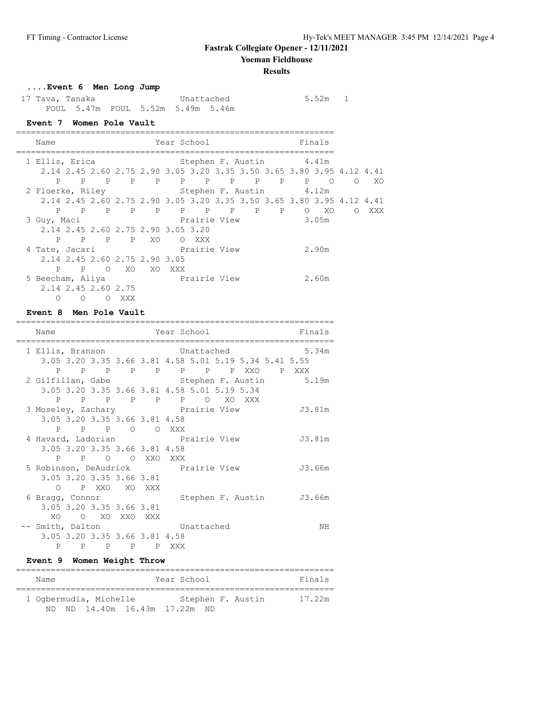**Yoeman Fieldhouse**

#### **Results**

 $5.52m$  1

## **....Event 6 Men Long Jump**

| 17 Tava, Tanaka |  | Unattached                        |  |
|-----------------|--|-----------------------------------|--|
|                 |  | FOUL 5.47m FOUL 5.52m 5.49m 5.46m |  |

## **Event 7 Women Pole Vault**

| Name                                                                  |          |       |                            | Year School |       |                         |       | Finals |            |      |
|-----------------------------------------------------------------------|----------|-------|----------------------------|-------------|-------|-------------------------|-------|--------|------------|------|
| 1 Ellis, Erica                                                        |          |       |                            |             |       | Stephen F. Austin 4.41m |       |        |            |      |
| 2.14 2.45 2.60 2.75 2.90 3.05 3.20 3.35 3.50 3.65 3.80 3.95 4.12 4.41 |          |       |                            |             |       |                         |       |        |            |      |
| P                                                                     |          |       | P P P P P P P P P P P O    |             |       |                         |       |        | $\circ$    | - XO |
| 2 Floerke, Riley Stephen F. Austin 4.12m                              |          |       |                            |             |       |                         |       |        |            |      |
| 2.14 2.45 2.60 2.75 2.90 3.05 3.20 3.35 3.50 3.65 3.80 3.95 4.12 4.41 |          |       |                            |             |       |                         |       |        |            |      |
|                                                                       |          |       | P P P P P P P P P P P O XO |             |       |                         |       |        | $\bigcirc$ | XXX  |
| 3 Guy, Maci                                                           |          |       |                            |             |       | Prairie View            | 3.05m |        |            |      |
| 2.14 2.45 2.60 2.75 2.90 3.05 3.20                                    |          |       |                            |             |       |                         |       |        |            |      |
|                                                                       |          |       | P P P P XO                 |             | O XXX |                         |       |        |            |      |
| 4 Tate, Jacari                                                        |          |       | Prairie View               |             |       |                         |       | 2.90m  |            |      |
| 2.14 2.45 2.60 2.75 2.90 3.05                                         |          |       |                            |             |       |                         |       |        |            |      |
| P                                                                     |          |       | P O XO XO XXX              |             |       |                         |       |        |            |      |
| 5 Beecham, Aliya                                                      |          |       | Prairie View               |             |       |                         |       | 2.60m  |            |      |
| 2.14 2.45 2.60 2.75                                                   |          |       |                            |             |       |                         |       |        |            |      |
| 0                                                                     | $\Omega$ | O XXX |                            |             |       |                         |       |        |            |      |

## **Event 8 Men Pole Vault**

| Name             |                               |  | Year School                                                                                                                                                             | Finals |
|------------------|-------------------------------|--|-------------------------------------------------------------------------------------------------------------------------------------------------------------------------|--------|
| 1 Ellis, Branson |                               |  | Unattached and the United States of the United States of the United States of the United States of the United<br>3.05 3.20 3.35 3.66 3.81 4.58 5.01 5.19 5.34 5.41 5.55 | 5.34m  |
| P                |                               |  | PPPPPPPPPXXOPXXX                                                                                                                                                        |        |
|                  |                               |  | 2 Gilfillan, Gabe 6. Stephen F. Austin 5.19m<br>3.05 3.20 3.35 3.66 3.81 4.58 5.01 5.19 5.34                                                                            |        |
|                  |                               |  | P P P P P P O XO XXX                                                                                                                                                    |        |
|                  |                               |  | 3 Moseley, Zachary <b>Example 19 Prairie View</b>                                                                                                                       | J3.81m |
|                  | 3.05 3.20 3.35 3.66 3.81 4.58 |  |                                                                                                                                                                         |        |
|                  | P P P O O XXX                 |  |                                                                                                                                                                         |        |
|                  |                               |  | 4 Havard, Ladorian Margarette View                                                                                                                                      | J3.81m |
|                  | 3.05 3.20 3.35 3.66 3.81 4.58 |  |                                                                                                                                                                         |        |
|                  | P P O O XXO XXX               |  |                                                                                                                                                                         |        |
|                  |                               |  | 5 Robinson, DeAudrick brairie View                                                                                                                                      | J3.66m |
|                  | 3.05 3.20 3.35 3.66 3.81      |  |                                                                                                                                                                         |        |
|                  | O PXXO XOXXX                  |  |                                                                                                                                                                         |        |
| 6 Bragg, Connor  |                               |  | Stephen F. Austin J3.66m                                                                                                                                                |        |
|                  | 3.05 3.20 3.35 3.66 3.81      |  |                                                                                                                                                                         |        |
|                  | XO O XO XXO XXX               |  |                                                                                                                                                                         |        |
| -- Smith, Dalton |                               |  | Unattached                                                                                                                                                              | NH     |
|                  | 3.05 3.20 3.35 3.66 3.81 4.58 |  |                                                                                                                                                                         |        |
| P                | PPPPPXXX                      |  |                                                                                                                                                                         |        |

### **Event 9 Women Weight Throw**

| Name |                        |                            | Year School |  |                   | Finals |
|------|------------------------|----------------------------|-------------|--|-------------------|--------|
|      | 1 Ogbermudia, Michelle |                            |             |  | Stephen F. Austin | 17.22m |
| ND.  |                        | ND 14.40m 16.43m 17.22m ND |             |  |                   |        |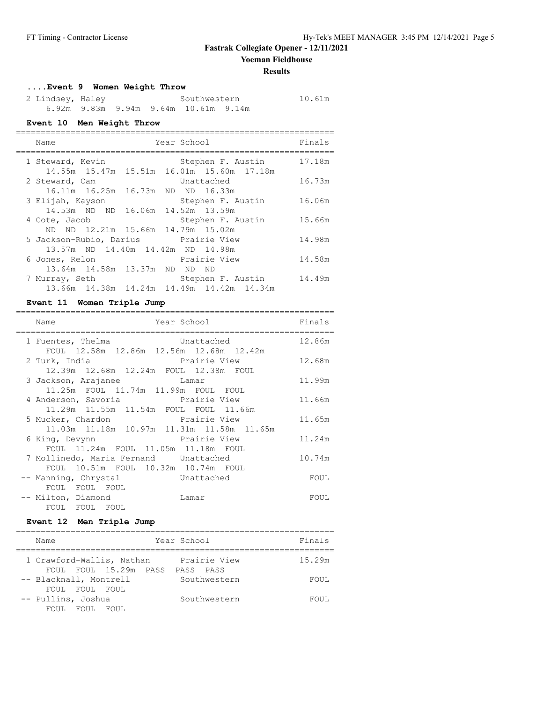**Yoeman Fieldhouse**

#### **Results**

## **....Event 9 Women Weight Throw**

| 2 Lindsey, Haley |  |                                      | Southwestern |  |  |  |  |
|------------------|--|--------------------------------------|--------------|--|--|--|--|
|                  |  | 6.92m 9.83m 9.94m 9.64m 10.61m 9.14m |              |  |  |  |  |

## **Event 10 Men Weight Throw**

| Name                                      | Year School       | Finals |
|-------------------------------------------|-------------------|--------|
| 1 Steward, Kevin                          | Stephen F. Austin | 17.18m |
| 14.55m 15.47m 15.51m 16.01m 15.60m 17.18m |                   |        |
| 2 Steward, Cam                            | Unattached        | 16.73m |
| 16.11m 16.25m 16.73m ND ND 16.33m         |                   |        |
| 3 Elijah, Kayson                          | Stephen F. Austin | 16.06m |
| 14.53m ND ND 16.06m 14.52m 13.59m         |                   |        |
| 4 Cote, Jacob                             | Stephen F. Austin | 15.66m |
| ND ND 12.21m 15.66m 14.79m 15.02m         |                   |        |
| 5 Jackson-Rubio, Darius Prairie View      |                   | 14.98m |
| 13.57m ND 14.40m 14.42m ND 14.98m         |                   |        |
| 6 Jones, Relon                            | Prairie View      | 14.58m |
| 13.64m 14.58m 13.37m ND ND ND             |                   |        |
| 7 Murray, Seth                            | Stephen F. Austin | 14.49m |
| 13.66m 14.38m 14.24m 14.49m 14.42m 14.34m |                   |        |

## **Event 11 Women Triple Jump**

| Name                                                                               | Year School in the School and the School and School                                             | Finals |
|------------------------------------------------------------------------------------|-------------------------------------------------------------------------------------------------|--------|
| 1 Fuentes, Thelma<br>FOUL 12.58m 12.86m 12.56m 12.68m 12.42m                       | Unattached                                                                                      | 12.86m |
| 2 Turk, India<br>12.39m  12.68m  12.24m  FOUL  12.38m  FOUL                        | Prairie View                                                                                    | 12.68m |
| 3 Jackson, Arajanee Mamar<br>11.25m FOUL 11.74m 11.99m FOUL FOUL                   |                                                                                                 | 11.99m |
| 4 Anderson, Savoria and Prairie View<br>11.29m  11.55m  11.54m  FOUL  FOUL  11.66m |                                                                                                 | 11.66m |
|                                                                                    | 5 Mucker, Chardon <b>Example Prairie View</b><br>11.03m  11.18m  10.97m  11.31m  11.58m  11.65m | 11.65m |
| 6 King, Devynn<br>FOUL 11.24m FOUL 11.05m 11.18m FOUL                              | Prairie View                                                                                    | 11.24m |
| 7 Mollinedo, Maria Fernand Unattached<br>FOUL 10.51m FOUL 10.32m 10.74m FOUL       |                                                                                                 | 10.74m |
| -- Manning, Chrystal Contrached<br>FOUL FOUL FOUL                                  |                                                                                                 | FOUL   |
| -- Milton, Diamond<br>FOUL FOUL FOUL                                               | Lamar                                                                                           | FOUL   |
|                                                                                    |                                                                                                 |        |

### **Event 12 Men Triple Jump**

| Name                                               | Year School               | Finals |
|----------------------------------------------------|---------------------------|--------|
| 1 Crawford-Wallis, Nathan<br>FOUL FOUL 15.29m PASS | Prairie View<br>PASS PASS | 15.29m |
| -- Blacknall, Montrell<br>FOUL FOUL FOUL           | Southwestern              | FOUL   |
| -- Pullins, Joshua<br>FOUL.<br>FOUL.<br>FOUL.      | Southwestern              | FOUL.  |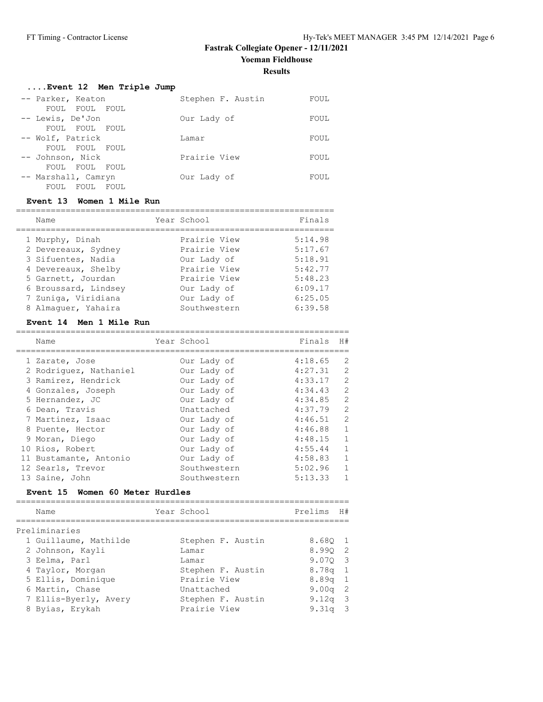## **....Event 12 Men Triple Jump**

| -- Parker, Keaton                                  | Stephen F. Austin | FOUL |
|----------------------------------------------------|-------------------|------|
| FOUL FOUL FOUL<br>-- Lewis, De'Jon                 | Our Lady of       | FOUL |
| FOUL FOUL FOUL<br>-- Wolf, Patrick                 | Lamar             | FOUL |
| FOUL FOUL FOUL                                     | Prairie View      |      |
| -- Johnson, Nick<br>FOUL FOUL FOUL                 |                   | FOUL |
| -- Marshall, Camryn<br>FOUL<br>FOUL<br><b>FOUL</b> | Our Lady of       | FOUL |

#### **Event 13 Women 1 Mile Run**

| Name                 | Year School  | Finals  |
|----------------------|--------------|---------|
| 1 Murphy, Dinah      | Prairie View | 5:14.98 |
| 2 Devereaux, Sydney  | Prairie View | 5:17.67 |
| 3 Sifuentes, Nadia   | Our Lady of  | 5:18.91 |
| 4 Devereaux, Shelby  | Prairie View | 5:42.77 |
| 5 Garnett, Jourdan   | Prairie View | 5:48.23 |
| 6 Broussard, Lindsey | Our Lady of  | 6:09.17 |
| 7 Zuniga, Viridiana  | Our Lady of  | 6:25.05 |
| 8 Almaquer, Yahaira  | Southwestern | 6:39.58 |

### **Event 14 Men 1 Mile Run**

| Name                            | Year School       | Finals  | H#             |
|---------------------------------|-------------------|---------|----------------|
|                                 |                   |         | 2              |
| 1 Zarate, Jose                  | Our Lady of       | 4:18.65 |                |
| 2 Rodriquez, Nathaniel          | Our Lady of       | 4:27.31 | 2              |
| 3 Ramirez, Hendrick             | Our Lady of       | 4:33.17 | 2              |
| 4 Gonzales, Joseph              | Our Lady of       | 4:34.43 | 2              |
| 5 Hernandez, JC                 | Our Lady of       | 4:34.85 | $\overline{2}$ |
| 6 Dean, Travis                  | Unattached        | 4:37.79 | $\overline{c}$ |
| 7 Martinez, Isaac               | Our Lady of       | 4:46.51 | 2              |
| 8 Puente, Hector                | Our Lady of       | 4:46.88 | $\mathbf{1}$   |
| 9 Moran, Diego                  | Our Lady of       | 4:48.15 | $\mathbf{1}$   |
| 10 Rios, Robert                 | Our Lady of       | 4:55.44 | $\mathbf{1}$   |
| 11 Bustamante, Antonio          | Our Lady of       | 4:58.83 | $\mathbf{1}$   |
| 12 Searls, Trevor               | Southwestern      | 5:02.96 | $\mathbf{1}$   |
| 13 Saine, John                  | Southwestern      | 5:13.33 | $\mathbf{1}$   |
| Event 15 Women 60 Meter Hurdles |                   |         |                |
|                                 |                   |         |                |
| Name                            | Year School       | Prelims | H#             |
|                                 |                   |         |                |
| Preliminaries                   |                   |         |                |
| 1 Guillaume, Mathilde           | Stephen F. Austin | 8.680 1 |                |
| 2 Johnson, Kavli                | Lamar             | 8.9902  |                |

| 2 Johnson, Kayli      | Lamar             | 8.990 2    |
|-----------------------|-------------------|------------|
| 3 Eelma, Parl         | Lamar             | 9.070 3    |
| 4 Taylor, Morgan      | Stephen F. Austin | $8.78q$ 1  |
| 5 Ellis, Dominique    | Prairie View      | $8.89q$ 1  |
| 6 Martin, Chase       | Unattached        | $9.00q$ 2  |
| 7 Ellis-Byerly, Avery | Stephen F. Austin | 9.12 $q$ 3 |
| 8 Byias, Erykah       | Prairie View      | $9.31q$ 3  |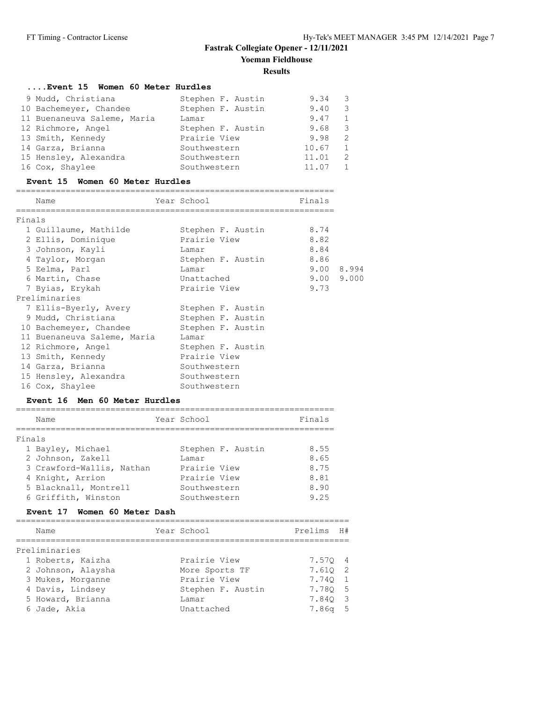## **....Event 15 Women 60 Meter Hurdles** 9 Mudd, Christiana Stephen F. Austin 9.34 3 10 Bachemeyer, Chandee Stephen F. Austin 9.40 3 11 Buenaneuva Saleme, Maria Lamar 9.47 1 12 Richmore, Angel Stephen F. Austin 9.68 3 13 Smith, Kennedy **Prairie View 13 Smith, Kennedy** 14 Garza, Brianna and Southwestern 10.67 1 15 Hensley, Alexandra Southwestern 11.01 2 16 Cox, Shaylee Southwestern 11.07 1

#### **Event 15 Women 60 Meter Hurdles**

#### ================================================================ Name Year School Finals ================================================================ Finals 1 Guillaume, Mathilde Stephen F. Austin 8.74 2 Ellis, Dominique Prairie View 8.82 3 Johnson, Kayli Lamar 8.84 4 Taylor, Morgan Stephen F. Austin 8.86 5 Eelma, Parl Lamar 9.00 8.994 6 Martin, Chase Unattached 9.00 9.000 7 Byias, Erykah Prairie View 9.73 Preliminaries 7 Ellis-Byerly, Avery Stephen F. Austin 9 Mudd, Christiana Stephen F. Austin 10 Bachemeyer, Chandee Stephen F. Austin 11 Buenaneuva Saleme, Maria Lamar 12 Richmore, Angel Stephen F. Austin 13 Smith, Kennedy **Prairie View** 14 Garza, Brianna and Southwestern 15 Hensley, Alexandra Southwestern 16 Cox, Shaylee Southwestern

#### **Event 16 Men 60 Meter Hurdles**

|        | Name                      | Year School       | Finals |
|--------|---------------------------|-------------------|--------|
| Finals |                           |                   |        |
|        | 1 Bayley, Michael         | Stephen F. Austin | 8.55   |
|        | 2 Johnson, Zakell         | Lamar             | 8.65   |
|        | 3 Crawford-Wallis, Nathan | Prairie View      | 8.75   |
|        | 4 Knight, Arrion          | Prairie View      | 8.81   |
|        | 5 Blacknall, Montrell     | Southwestern      | 8.90   |
|        | 6 Griffith, Winston       | Southwestern      | 9.25   |

#### **Event 17 Women 60 Meter Dash**

| Name               | Year School       | Prelims   | H# |
|--------------------|-------------------|-----------|----|
| Preliminaries      |                   |           |    |
| 1 Roberts, Kaizha  | Prairie View      | 7.570 4   |    |
| 2 Johnson, Alaysha | More Sports TF    | 7.610 2   |    |
| 3 Mukes, Morganne  | Prairie View      | 7.740 1   |    |
| 4 Davis, Lindsey   | Stephen F. Austin | 7.780 5   |    |
| 5 Howard, Brianna  | Lamar             | 7.840 3   |    |
| 6 Jade, Akia       | Unattached        | $7.86q$ 5 |    |
|                    |                   |           |    |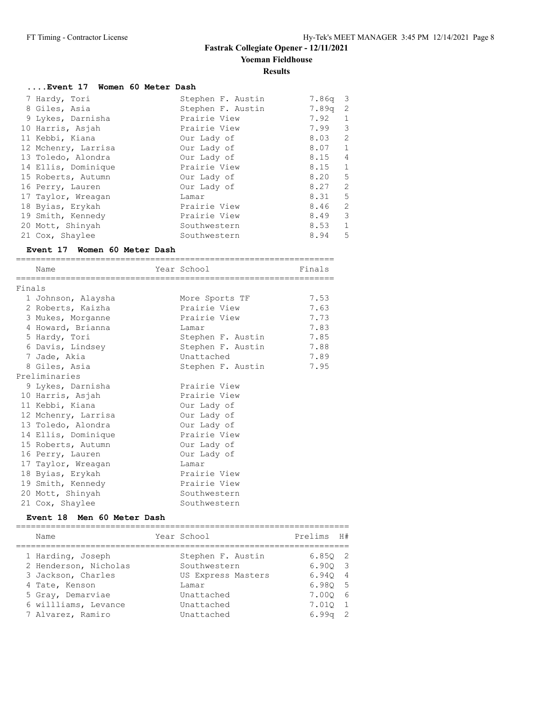| Event 17 Women 60 Meter Dash |                   |                   |                         |
|------------------------------|-------------------|-------------------|-------------------------|
| 7 Hardy, Tori                | Stephen F. Austin | 7.86g             | $\overline{\mathbf{3}}$ |
| 8 Giles, Asia                | Stephen F. Austin | 7.89 <sub>q</sub> | 2                       |
| 9 Lykes, Darnisha            | Prairie View      | 7.92              | 1                       |
| 10 Harris, Asjah             | Prairie View      | 7.99              | 3                       |
| 11 Kebbi, Kiana              | Our Lady of       | 8.03              | 2                       |
| 12 Mchenry, Larrisa          | Our Lady of       | $8.07$ 1          |                         |
| 13 Toledo, Alondra           | Our Lady of       | 8.15              | $\overline{4}$          |
| 14 Ellis, Dominique          | Prairie View      | $8.15 \t1$        |                         |
| 15 Roberts, Autumn           | Our Lady of       | 8.20              | $5^{\circ}$             |
| 16 Perry, Lauren             | Our Lady of       | 8.27              | 2                       |
| 17 Taylor, Wreagan           | Lamar             | 8.31 5            |                         |
| 18 Byias, Erykah             | Prairie View      | 8.46              | 2                       |
| 19 Smith, Kennedy            | Prairie View      | 8.49              | 3                       |
| 20 Mott, Shinyah             | Southwestern      | 8.53              | 1                       |
| 21 Cox, Shaylee              | Southwestern      | 8.94              | 5                       |

# **Event 17 Women 60 Meter Dash**

|        | Name                | Year School<br>======================== | Finals |
|--------|---------------------|-----------------------------------------|--------|
| Finals |                     |                                         |        |
|        | 1 Johnson, Alaysha  | More Sports TF                          | 7.53   |
|        | 2 Roberts, Kaizha   | Prairie View                            | 7.63   |
|        | 3 Mukes, Morganne   | Prairie View                            | 7.73   |
|        | 4 Howard, Brianna   | Lamar                                   | 7.83   |
|        | 5 Hardy, Tori       | Stephen F. Austin                       | 7.85   |
|        | 6 Davis, Lindsey    | Stephen F. Austin                       | 7.88   |
|        | 7 Jade, Akia        | Unattached                              | 7.89   |
|        | 8 Giles, Asia       | Stephen F. Austin                       | 7.95   |
|        | Preliminaries       |                                         |        |
|        | 9 Lykes, Darnisha   | Prairie View                            |        |
|        | 10 Harris, Asjah    | Prairie View                            |        |
|        | 11 Kebbi, Kiana     | Our Lady of                             |        |
|        | 12 Mchenry, Larrisa | Our Lady of                             |        |
|        | 13 Toledo, Alondra  | Our Lady of                             |        |
|        | 14 Ellis, Dominique | Prairie View                            |        |
|        | 15 Roberts, Autumn  | Our Lady of                             |        |
|        | 16 Perry, Lauren    | Our Lady of                             |        |
|        | 17 Taylor, Wreagan  | Lamar                                   |        |
|        | 18 Byias, Erykah    | Prairie View                            |        |
|        | 19 Smith, Kennedy   | Prairie View                            |        |
|        | 20 Mott, Shinyah    | Southwestern                            |        |
|        | 21 Cox, Shaylee     | Southwestern                            |        |

#### **Event 18 Men 60 Meter Dash**

| Name                                       | Year School                       | Prelims          | H#             |
|--------------------------------------------|-----------------------------------|------------------|----------------|
| 1 Harding, Joseph<br>2 Henderson, Nicholas | Stephen F. Austin<br>Southwestern | 6.8502<br>6.9003 |                |
| 3 Jackson, Charles                         | US Express Masters                | 6.940 4          |                |
| 4 Tate, Kenson                             | Lamar                             | 6.980 5          |                |
| 5 Gray, Demarviae                          | Unattached                        | 7.000            | - 6            |
| 6 willliams, Levance                       | Unattached                        | 7.010            | $\overline{1}$ |
| 7 Alvarez, Ramiro                          | Unattached                        | $6.99q$ 2        |                |
|                                            |                                   |                  |                |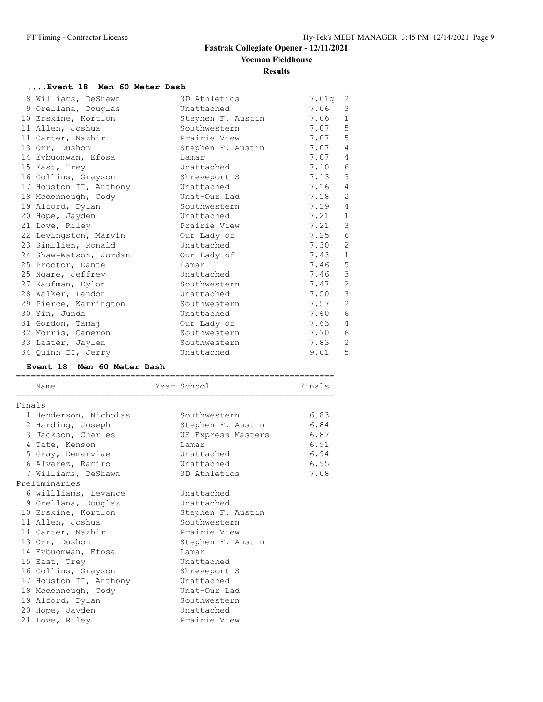### **....Event 18 Men 60 Meter Dash**

| 8 Williams, DeShawn    | 3D Athletics      | 7.01q | 2              |
|------------------------|-------------------|-------|----------------|
| 9 Orellana, Douglas    | Unattached        | 7.06  | 3              |
| 10 Erskine, Kortlon    | Stephen F. Austin | 7.06  | $\mathbf{1}$   |
| 11 Allen, Joshua       | Southwestern      | 7.07  | 5              |
| 11 Carter, Nazhir      | Prairie View      | 7.07  | 5              |
| 13 Orr, Dushon         | Stephen F. Austin | 7.07  | $\overline{4}$ |
| 14 Evbuomwan, Efosa    | Lamar             | 7.07  | 4              |
| 15 East, Trey          | Unattached        | 7.10  | 6              |
| 16 Collins, Grayson    | Shreveport S      | 7.13  | 3              |
| 17 Houston II, Anthony | Unattached        | 7.16  | $\overline{4}$ |
| 18 Mcdonnough, Cody    | Unat-Our Lad      | 7.18  | 2              |
| 19 Alford, Dylan       | Southwestern      | 7.19  | 4              |
| 20 Hope, Jayden        | Unattached        | 7.21  | $\mathbf{1}$   |
| 21 Love, Riley         | Prairie View      | 7.21  | 3              |
| 22 Levingston, Marvin  | Our Lady of       | 7.25  | 6              |
| 23 Similien, Ronald    | Unattached        | 7.30  | 2              |
| 24 Shaw-Watson, Jordan | Our Lady of       | 7.43  | $\mathbf{1}$   |
| 25 Proctor, Dante      | Lamar             | 7.46  | 5              |
| 25 Ngare, Jeffrey      | Unattached        | 7.46  | 3              |
| 27 Kaufman, Dylon      | Southwestern      | 7.47  | 2              |
| 28 Walker, Landon      | Unattached        | 7.50  | $\mathcal{S}$  |
| 29 Pierce, Karrington  | Southwestern      | 7.57  | 2              |
| 30 Yin, Junda          | Unattached        | 7.60  | 6              |
| 31 Gordon, Tamaj       | Our Lady of       | 7.63  | $\overline{4}$ |
| 32 Morris, Cameron     | Southwestern      | 7.70  | 6              |
| 33 Laster, Jaylen      | Southwestern      | 7.83  | 2              |
| 34 Quinn II, Jerry     | Unattached        | 9.01  | 5              |

#### **Event 18 Men 60 Meter Dash**

|        | Name<br>------------------- | Year School             | Finals |
|--------|-----------------------------|-------------------------|--------|
| Finals |                             |                         |        |
|        | 1 Henderson, Nicholas       | Southwestern            | 6.83   |
|        | 2 Harding, Joseph           | Stephen F. Austin       | 6.84   |
|        | 3 Jackson, Charles          | US Express Masters 6.87 |        |
|        | 4 Tate, Kenson              | Lamar                   | 6.91   |
|        | 5 Gray, Demarviae           | Unattached              | 6.94   |
|        | 6 Alvarez, Ramiro           | Unattached              | 6.95   |
|        | 7 Williams, DeShawn         | 3D Athletics            | 7.08   |
|        | Preliminaries               |                         |        |
|        | 6 willliams, Levance        | Unattached              |        |
|        | 9 Orellana, Douglas         | Unattached              |        |
|        | 10 Erskine, Kortlon         | Stephen F. Austin       |        |
|        | 11 Allen, Joshua            | Southwestern            |        |
|        | 11 Carter, Nazhir           | Prairie View            |        |
|        | 13 Orr, Dushon              | Stephen F. Austin       |        |
|        | 14 Evbuomwan, Efosa         | Lamar                   |        |
|        | 15 East, Trey               | Unattached              |        |
|        | 16 Collins, Grayson         | Shreveport S            |        |
|        | 17 Houston II, Anthony      | Unattached              |        |
|        | 18 Mcdonnough, Cody         | Unat-Our Lad            |        |
|        | 19 Alford, Dylan            | Southwestern            |        |
|        | 20 Hope, Jayden             | Unattached              |        |
|        | 21 Love, Riley              | Prairie View            |        |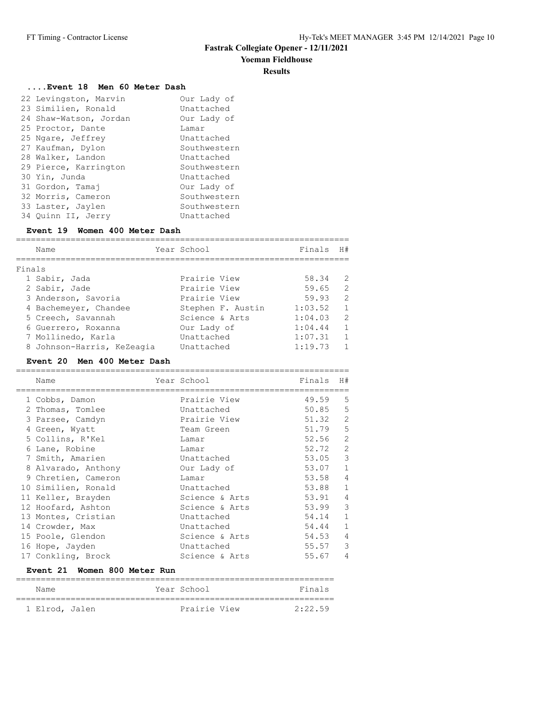#### **Yoeman Fieldhouse**

#### **Results**

## **....Event 18 Men 60 Meter Dash**

| 22 Levingston, Marvin  | Our Lady of  |
|------------------------|--------------|
| 23 Similien, Ronald    | Unattached   |
| 24 Shaw-Watson, Jordan | Our Lady of  |
| 25 Proctor, Dante      | Lamar        |
| 25 Ngare, Jeffrey      | Unattached   |
| 27 Kaufman, Dylon      | Southwestern |
| 28 Walker, Landon      | Unattached   |
| 29 Pierce, Karrington  | Southwestern |
| 30 Yin, Junda          | Unattached   |
| 31 Gordon, Tamaj       | Our Lady of  |
| 32 Morris, Cameron     | Southwestern |
| 33 Laster, Jaylen      | Southwestern |
| 34 Ouinn II, Jerry     | Unattached   |

### **Event 19 Women 400 Meter Dash**

|        | Name                       | Year School       | Finals  | H#            |
|--------|----------------------------|-------------------|---------|---------------|
| Finals |                            |                   |         |               |
|        | 1 Sabir, Jada              | Prairie View      | 58.34   | $\mathcal{P}$ |
|        | 2 Sabir, Jade              | Prairie View      | 59.65   | 2             |
|        | 3 Anderson, Savoria        | Prairie View      | 59.93   | $\mathcal{L}$ |
|        | 4 Bachemeyer, Chandee      | Stephen F. Austin | 1:03.52 | 1             |
|        | 5 Creech, Savannah         | Science & Arts    | 1:04.03 | $\mathcal{L}$ |
|        | 6 Guerrero, Roxanna        | Our Lady of       | 1:04.44 | $\mathbf{1}$  |
|        | 7 Mollinedo, Karla         | Unattached        | 1:07.31 | 1             |
|        | 8 Johnson-Harris, KeZeagia | Unattached        | 1:19.73 |               |

## **Event 20 Men 400 Meter Dash**

| Name                | Year School    | Finals  | H#             |
|---------------------|----------------|---------|----------------|
| 1 Cobbs, Damon      | Prairie View   | 49.59   | 5              |
| 2 Thomas, Tomlee    | Unattached     | 50.85   | 5              |
| 3 Parsee, Camdyn    | Prairie View   | 51.32   | 2              |
| 4 Green, Wyatt      | Team Green     | 51.79   | 5              |
| 5 Collins, R'Kel    | Lamar          | 52.56   | $\mathbf{2}$   |
| 6 Lane, Robine      | Lamar          | 52.72   | $\mathbf{2}$   |
| 7 Smith, Amarien    | Unattached     | 53.05 3 |                |
| 8 Alvarado, Anthony | Our Lady of    | 53.07   | $\mathbf{1}$   |
| 9 Chretien, Cameron | Lamar          | 53.58   | 4              |
| 10 Similien, Ronald | Unattached     | 53.88   | $\mathbf{1}$   |
| 11 Keller, Brayden  | Science & Arts | 53.91   | $\overline{4}$ |
| 12 Hoofard, Ashton  | Science & Arts | 53.99   | 3              |
| 13 Montes, Cristian | Unattached     | 54.14   | $\mathbf{1}$   |
| 14 Crowder, Max     | Unattached     | 54.44   | $\mathbf{1}$   |
| 15 Poole, Glendon   | Science & Arts | 54.53   | 4              |
| 16 Hope, Jayden     | Unattached     | 55.57   | 3              |
| 17 Conkling, Brock  | Science & Arts | 55.67   | 4              |

## **Event 21 Women 800 Meter Run**

| Name           |  | Year School  | Finals  |
|----------------|--|--------------|---------|
|                |  |              |         |
| 1 Elrod, Jalen |  | Prairie View | 2:22.59 |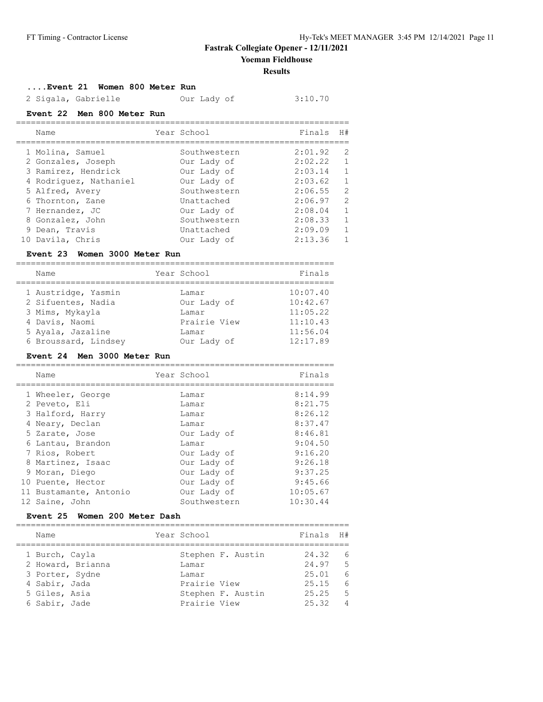**Results**

#### **....Event 21 Women 800 Meter Run**

2 Sigala, Gabrielle Our Lady of 3:10.70

#### **Event 22 Men 800 Meter Run**

| Name                   | Year School  | Finals  | H#            |
|------------------------|--------------|---------|---------------|
| 1 Molina, Samuel       | Southwestern | 2:01.92 | 2             |
| 2 Gonzales, Joseph     | Our Lady of  | 2:02.22 | 1             |
| 3 Ramirez, Hendrick    | Our Lady of  | 2:03.14 | 1             |
| 4 Rodriquez, Nathaniel | Our Lady of  | 2:03.62 | $\mathbf{1}$  |
| 5 Alfred, Avery        | Southwestern | 2:06.55 | $\mathcal{L}$ |
| 6 Thornton, Zane       | Unattached   | 2:06.97 | 2             |
| 7 Hernandez, JC        | Our Lady of  | 2:08.04 | 1             |
| 8 Gonzalez, John       | Southwestern | 2:08.33 | 1             |
| 9 Dean, Travis         | Unattached   | 2:09.09 | 1             |
| 10 Davila, Chris       | Our Lady of  | 2:13.36 |               |

#### **Event 23 Women 3000 Meter Run**

| Name                 | Year School  | Finals   |
|----------------------|--------------|----------|
| 1 Austridge, Yasmin  | Lamar        | 10:07.40 |
| 2 Sifuentes, Nadia   | Our Lady of  | 10:42.67 |
| 3 Mims, Mykayla      | Lamar        | 11:05.22 |
| 4 Davis, Naomi       | Prairie View | 11:10.43 |
| 5 Ayala, Jazaline    | Lamar        | 11:56.04 |
| 6 Broussard, Lindsey | Our Lady of  | 12:17.89 |

### **Event 24 Men 3000 Meter Run**

| Name                   | Year School  | Finals   |
|------------------------|--------------|----------|
|                        |              |          |
| 1 Wheeler, George      | Lamar        | 8:14.99  |
| 2 Peveto, Eli          | Lamar        | 8:21.75  |
| 3 Halford, Harry       | Lamar        | 8:26.12  |
| 4 Neary, Declan        | Lamar        | 8:37.47  |
| 5 Zarate, Jose         | Our Lady of  | 8:46.81  |
| 6 Lantau, Brandon      | Lamar        | 9:04.50  |
| 7 Rios, Robert         | Our Lady of  | 9:16.20  |
| 8 Martinez, Isaac      | Our Lady of  | 9:26.18  |
| 9 Moran, Diego         | Our Lady of  | 9:37.25  |
| 10 Puente, Hector      | Our Lady of  | 9:45.66  |
| 11 Bustamante, Antonio | Our Lady of  | 10:05.67 |
| 12 Saine, John         | Southwestern | 10:30.44 |

#### **Event 25 Women 200 Meter Dash**

=================================================================== Name Year School Finals H# =================================================================== 1 Burch, Cayla Stephen F. Austin 24.32 6 2 Howard, Brianna Lamar 24.97 5 3 Porter, Sydne Lamar 25.01 6 4 Sabir, Jada Prairie View 25.15 6 5 Giles, Asia Stephen F. Austin 25.25 5 6 Sabir, Jade Prairie View 25.32 4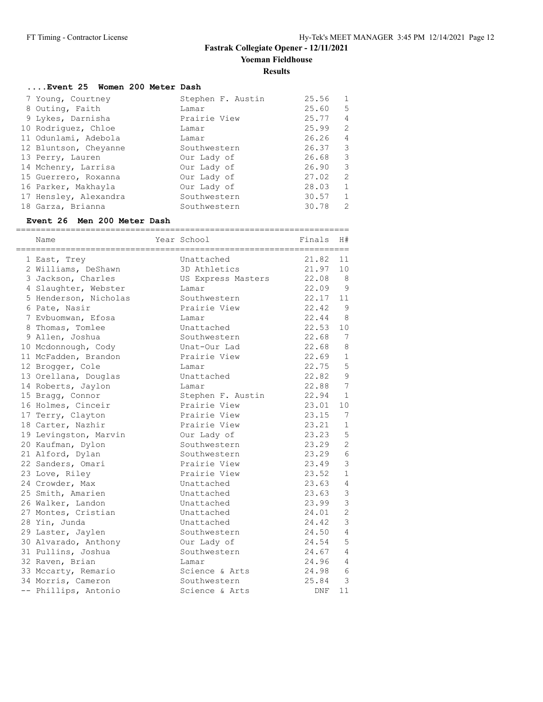### **....Event 25 Women 200 Meter Dash**

| 7 Young, Courtney     | Stephen F. Austin | 25.56 | $\mathbf{1}$   |
|-----------------------|-------------------|-------|----------------|
| 8 Outing, Faith       | Lamar             | 25.60 | 5              |
| 9 Lykes, Darnisha     | Prairie View      | 25.77 | $\overline{4}$ |
| 10 Rodriquez, Chloe   | Lamar             | 25.99 | 2              |
| 11 Odunlami, Adebola  | Lamar             | 26.26 | $\overline{4}$ |
| 12 Bluntson, Cheyanne | Southwestern      | 26.37 | 3              |
| 13 Perry, Lauren      | Our Lady of       | 26.68 | 3              |
| 14 Mchenry, Larrisa   | Our Lady of       | 26.90 | 3              |
| 15 Guerrero, Roxanna  | Our Lady of       | 27.02 | 2              |
| 16 Parker, Makhayla   | Our Lady of       | 28.03 | $\mathbf{1}$   |
| 17 Hensley, Alexandra | Southwestern      | 30.57 | $\mathbf{1}$   |
| 18 Garza, Brianna     | Southwestern      | 30.78 | $\mathcal{L}$  |

#### **Event 26 Men 200 Meter Dash**

| ==========<br>Name    | ;========================<br>Year School | Finals | H#             |
|-----------------------|------------------------------------------|--------|----------------|
| 1 East, Trey          | Unattached                               | 21.82  | 11             |
| 2 Williams, DeShawn   | 3D Athletics                             | 21.97  | 10             |
| 3 Jackson, Charles    | US Express Masters                       | 22.08  | - 8            |
| 4 Slaughter, Webster  | Lamar                                    | 22.09  | 9              |
| 5 Henderson, Nicholas | Southwestern                             | 22.17  | 11             |
| 6 Pate, Nasir         | Prairie View                             | 22.42  | 9              |
| 7 Evbuomwan, Efosa    | Lamar                                    | 22.44  | 8              |
| 8 Thomas, Tomlee      | Unattached                               | 22.53  | 10             |
| 9 Allen, Joshua       | Southwestern                             | 22.68  | 7              |
| 10 Mcdonnough, Cody   | Unat-Our Lad                             | 22.68  | 8              |
| 11 McFadden, Brandon  | Prairie View                             | 22.69  | $\mathbf{1}$   |
| 12 Brogger, Cole      | Lamar                                    | 22.75  | 5              |
| 13 Orellana, Douglas  | Unattached                               | 22.82  | 9              |
| 14 Roberts, Jaylon    | Lamar                                    | 22.88  | 7              |
| 15 Bragg, Connor      | Stephen F. Austin                        | 22.94  | $\mathbf{1}$   |
| 16 Holmes, Cinceir    | Prairie View                             | 23.01  | 10             |
| 17 Terry, Clayton     | Prairie View                             | 23.15  | 7              |
| 18 Carter, Nazhir     | Prairie View                             | 23.21  | $\mathbf{1}$   |
| 19 Levingston, Marvin | Our Lady of                              | 23.23  | 5              |
| 20 Kaufman, Dylon     | Southwestern                             | 23.29  | $\overline{2}$ |
| 21 Alford, Dylan      | Southwestern                             | 23.29  | 6              |
| 22 Sanders, Omari     | Prairie View                             | 23.49  | 3              |
| 23 Love, Riley        | Prairie View                             | 23.52  | $\mathbf{1}$   |
| 24 Crowder, Max       | Unattached                               | 23.63  | $\overline{4}$ |
| 25 Smith, Amarien     | Unattached                               | 23.63  | 3              |
| 26 Walker, Landon     | Unattached                               | 23.99  | $\mathcal{S}$  |
| 27 Montes, Cristian   | Unattached                               | 24.01  | $\overline{2}$ |
| 28 Yin, Junda         | Unattached                               | 24.42  | $\mathcal{E}$  |
| 29 Laster, Jaylen     | Southwestern                             | 24.50  | $\overline{4}$ |
| 30 Alvarado, Anthony  | Our Lady of                              | 24.54  | 5              |
| 31 Pullins, Joshua    | Southwestern                             | 24.67  | $\overline{4}$ |
| 32 Raven, Brian       | Lamar                                    | 24.96  | $\overline{4}$ |
| 33 Mccarty, Remario   | Science & Arts                           | 24.98  | 6              |
| 34 Morris, Cameron    | Southwestern                             | 25.84  | 3              |
| -- Phillips, Antonio  | Science & Arts                           | DNF    | 11             |